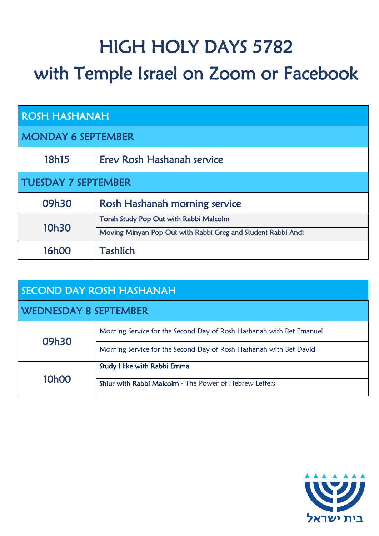## HIGH HOLY DAYS 5782 with Temple Israel on Zoom or Facebook

| <b>ROSH HASHANAH</b>       |                                                              |  |
|----------------------------|--------------------------------------------------------------|--|
| <b>MONDAY 6 SEPTEMBER</b>  |                                                              |  |
| 18h15                      | Erey Rosh Hashanah service                                   |  |
| <b>TUESDAY 7 SEPTEMBER</b> |                                                              |  |
| 09h30                      | Rosh Hashanah morning service                                |  |
| 10h30                      | Torah Study Pop Out with Rabbi Malcolm                       |  |
|                            | Moving Minyan Pop Out with Rabbi Greg and Student Rabbi Andi |  |
| <b>16h00</b>               | <b>Tashlich</b>                                              |  |

| <b>SECOND DAY ROSH HASHANAH</b> |                                                                      |  |
|---------------------------------|----------------------------------------------------------------------|--|
| <b>WEDNESDAY 8 SEPTEMBER</b>    |                                                                      |  |
| 09h30                           | Morning Service for the Second Day of Rosh Hashanah with Bet Emanuel |  |
|                                 | Morning Service for the Second Day of Rosh Hashanah with Bet David   |  |
| 10h00                           | <b>Study Hike with Rabbi Emma</b>                                    |  |
|                                 | Shiur with Rabbi Malcolm - The Power of Hebrew Letters               |  |